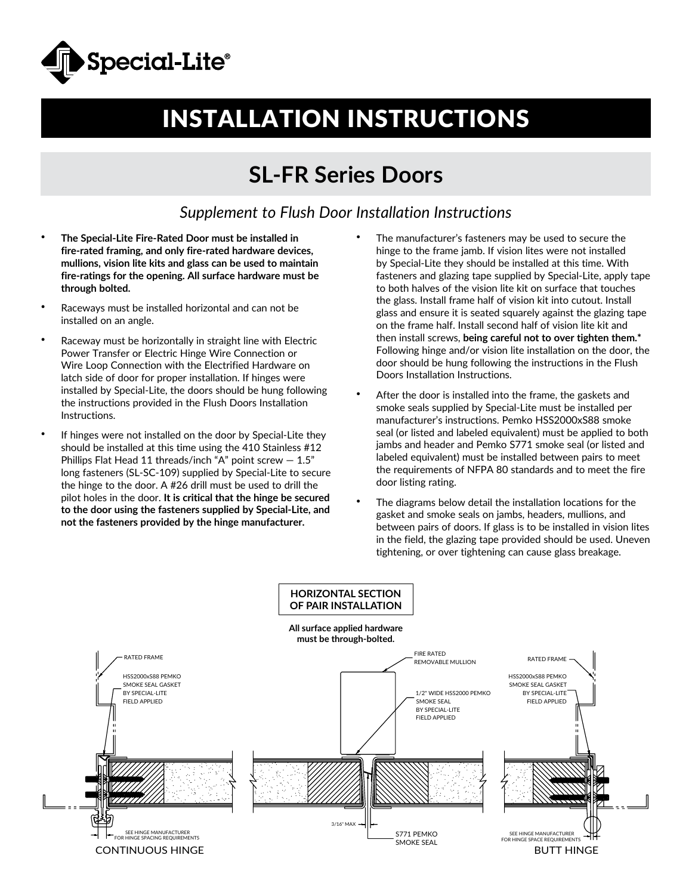

## INSTALLATION INSTRUCTIONS

## **SL-FR Series Doors**

## *Supplement to Flush Door Installation Instructions*

- **The Special-Lite Fire-Rated Door must be installed in fire-rated framing, and only fire-rated hardware devices, mullions, vision lite kits and glass can be used to maintain fire-ratings for the opening. All surface hardware must be through bolted.**
- Raceways must be installed horizontal and can not be installed on an angle.
- Raceway must be horizontally in straight line with Electric Power Transfer or Electric Hinge Wire Connection or Wire Loop Connection with the Electrified Hardware on latch side of door for proper installation. If hinges were installed by Special-Lite, the doors should be hung following the instructions provided in the Flush Doors Installation Instructions.
- If hinges were not installed on the door by Special-Lite they should be installed at this time using the 410 Stainless #12 Phillips Flat Head 11 threads/inch "A" point screw  $-1.5$ " long fasteners (SL-SC-109) supplied by Special-Lite to secure the hinge to the door. A #26 drill must be used to drill the pilot holes in the door. **It is critical that the hinge be secured to the door using the fasteners supplied by Special-Lite, and not the fasteners provided by the hinge manufacturer.**
- The manufacturer's fasteners may be used to secure the hinge to the frame jamb. If vision lites were not installed by Special-Lite they should be installed at this time. With fasteners and glazing tape supplied by Special-Lite, apply tape to both halves of the vision lite kit on surface that touches the glass. Install frame half of vision kit into cutout. Install glass and ensure it is seated squarely against the glazing tape on the frame half. Install second half of vision lite kit and then install screws, **being careful not to over tighten them.\*** Following hinge and/or vision lite installation on the door, the door should be hung following the instructions in the Flush Doors Installation Instructions.
- After the door is installed into the frame, the gaskets and smoke seals supplied by Special-Lite must be installed per manufacturer's instructions. Pemko HSS2000xS88 smoke seal (or listed and labeled equivalent) must be applied to both jambs and header and Pemko S771 smoke seal (or listed and labeled equivalent) must be installed between pairs to meet the requirements of NFPA 80 standards and to meet the fire door listing rating.
	- The diagrams below detail the installation locations for the gasket and smoke seals on jambs, headers, mullions, and between pairs of doors. If glass is to be installed in vision lites in the field, the glazing tape provided should be used. Uneven tightening, or over tightening can cause glass breakage.